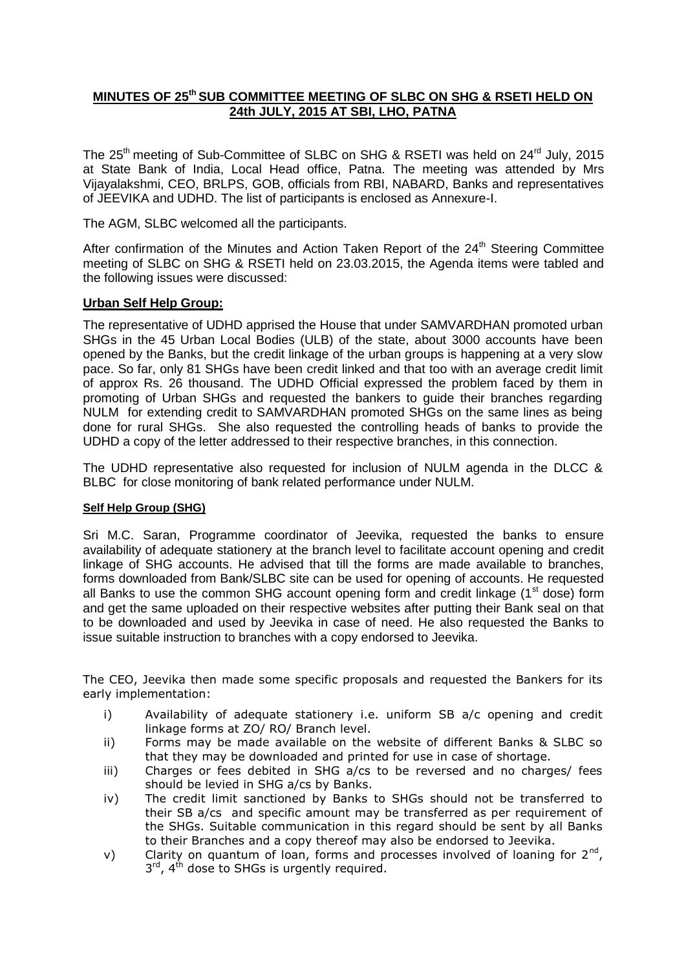## **MINUTES OF 25th SUB COMMITTEE MEETING OF SLBC ON SHG & RSETI HELD ON 24th JULY, 2015 AT SBI, LHO, PATNA**

The 25<sup>th</sup> meeting of Sub-Committee of SLBC on SHG & RSETI was held on 24<sup>rd</sup> July, 2015 at State Bank of India, Local Head office, Patna. The meeting was attended by Mrs Vijayalakshmi, CEO, BRLPS, GOB, officials from RBI, NABARD, Banks and representatives of JEEVIKA and UDHD. The list of participants is enclosed as Annexure-I.

The AGM, SLBC welcomed all the participants.

After confirmation of the Minutes and Action Taken Report of the 24<sup>th</sup> Steering Committee meeting of SLBC on SHG & RSETI held on 23.03.2015, the Agenda items were tabled and the following issues were discussed:

## **Urban Self Help Group:**

The representative of UDHD apprised the House that under SAMVARDHAN promoted urban SHGs in the 45 Urban Local Bodies (ULB) of the state, about 3000 accounts have been opened by the Banks, but the credit linkage of the urban groups is happening at a very slow pace. So far, only 81 SHGs have been credit linked and that too with an average credit limit of approx Rs. 26 thousand. The UDHD Official expressed the problem faced by them in promoting of Urban SHGs and requested the bankers to guide their branches regarding NULM for extending credit to SAMVARDHAN promoted SHGs on the same lines as being done for rural SHGs. She also requested the controlling heads of banks to provide the UDHD a copy of the letter addressed to their respective branches, in this connection.

The UDHD representative also requested for inclusion of NULM agenda in the DLCC & BLBC for close monitoring of bank related performance under NULM.

### **Self Help Group (SHG)**

Sri M.C. Saran, Programme coordinator of Jeevika, requested the banks to ensure availability of adequate stationery at the branch level to facilitate account opening and credit linkage of SHG accounts. He advised that till the forms are made available to branches, forms downloaded from Bank/SLBC site can be used for opening of accounts. He requested all Banks to use the common SHG account opening form and credit linkage  $(1<sup>st</sup>$  dose) form and get the same uploaded on their respective websites after putting their Bank seal on that to be downloaded and used by Jeevika in case of need. He also requested the Banks to issue suitable instruction to branches with a copy endorsed to Jeevika.

The CEO, Jeevika then made some specific proposals and requested the Bankers for its early implementation:

- i) Availability of adequate stationery i.e. uniform SB a/c opening and credit linkage forms at ZO/ RO/ Branch level.
- ii) Forms may be made available on the website of different Banks & SLBC so that they may be downloaded and printed for use in case of shortage.
- iii) Charges or fees debited in SHG a/cs to be reversed and no charges/ fees should be levied in SHG a/cs by Banks.
- iv) The credit limit sanctioned by Banks to SHGs should not be transferred to their SB a/cs and specific amount may be transferred as per requirement of the SHGs. Suitable communication in this regard should be sent by all Banks to their Branches and a copy thereof may also be endorsed to Jeevika.
- v) Clarity on quantum of loan, forms and processes involved of loaning for  $2^{nd}$ ,  $3<sup>rd</sup>$ , 4<sup>th</sup> dose to SHGs is urgently required.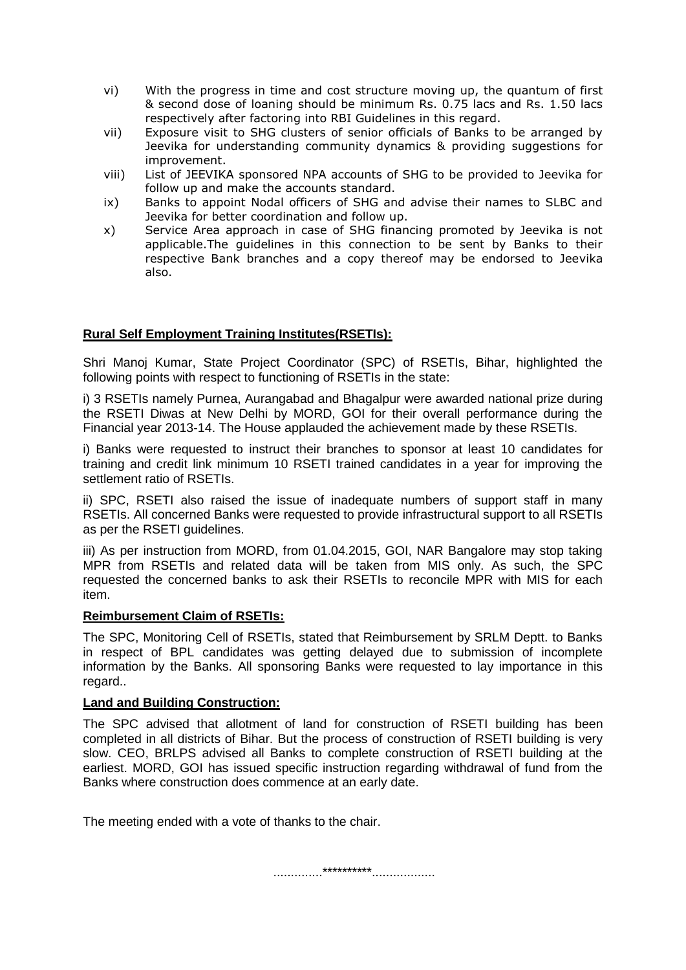- vi) With the progress in time and cost structure moving up, the quantum of first & second dose of loaning should be minimum Rs. 0.75 lacs and Rs. 1.50 lacs respectively after factoring into RBI Guidelines in this regard.
- vii) Exposure visit to SHG clusters of senior officials of Banks to be arranged by Jeevika for understanding community dynamics & providing suggestions for improvement.
- viii) List of JEEVIKA sponsored NPA accounts of SHG to be provided to Jeevika for follow up and make the accounts standard.
- ix) Banks to appoint Nodal officers of SHG and advise their names to SLBC and Jeevika for better coordination and follow up.
- x) Service Area approach in case of SHG financing promoted by Jeevika is not applicable.The guidelines in this connection to be sent by Banks to their respective Bank branches and a copy thereof may be endorsed to Jeevika also.

## **Rural Self Employment Training Institutes(RSETIs):**

Shri Manoj Kumar, State Project Coordinator (SPC) of RSETIs, Bihar, highlighted the following points with respect to functioning of RSETIs in the state:

i) 3 RSETIs namely Purnea, Aurangabad and Bhagalpur were awarded national prize during the RSETI Diwas at New Delhi by MORD, GOI for their overall performance during the Financial year 2013-14. The House applauded the achievement made by these RSETIs.

i) Banks were requested to instruct their branches to sponsor at least 10 candidates for training and credit link minimum 10 RSETI trained candidates in a year for improving the settlement ratio of RSETIs.

ii) SPC, RSETI also raised the issue of inadequate numbers of support staff in many RSETIs. All concerned Banks were requested to provide infrastructural support to all RSETIs as per the RSETI guidelines.

iii) As per instruction from MORD, from 01.04.2015, GOI, NAR Bangalore may stop taking MPR from RSETIs and related data will be taken from MIS only. As such, the SPC requested the concerned banks to ask their RSETIs to reconcile MPR with MIS for each item.

### **Reimbursement Claim of RSETIs:**

The SPC, Monitoring Cell of RSETIs, stated that Reimbursement by SRLM Deptt. to Banks in respect of BPL candidates was getting delayed due to submission of incomplete information by the Banks. All sponsoring Banks were requested to lay importance in this regard..

### **Land and Building Construction:**

The SPC advised that allotment of land for construction of RSETI building has been completed in all districts of Bihar. But the process of construction of RSETI building is very slow. CEO, BRLPS advised all Banks to complete construction of RSETI building at the earliest. MORD, GOI has issued specific instruction regarding withdrawal of fund from the Banks where construction does commence at an early date.

The meeting ended with a vote of thanks to the chair.